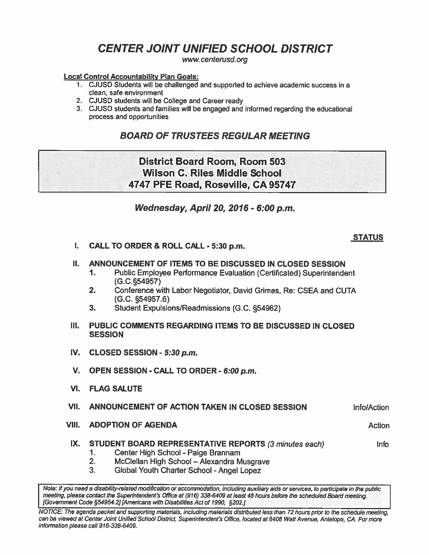# **CENTER JOINT UNIFIED SCHOOL DISTRICT**

**www.** *centerusd.* **org** 

#### Local Control Accountabllitv Plan Goals:

- 1. CJUSD Students will be challenged and supported to achieve academic success in a clean, safe environment
- 2. CJUSD students will be College and Career ready
- 3. CJUSD students and families will be engaged and informed regarding the educational process and opportunities

## **BOARD OF TRUSTEES REGULAR MEETING**

# District Board Room, Room 503 Wilson C. Riles Middle School **4747** PFE Road, Roseville, CA **95747**

## **Wednesday, April 20,2076** - **6:00** *p.m.*

## **STATUS**

Action

**Info** 

I. CALL TO ORDER & ROLL CALL - **530** p.m.

## II. ANNOUNCEMENT OF ITEMS TO 8E DISCUSSED **IN** CLOSED SESSION

- 1. Public Employee Performance Evaluation (Certificated) Superintendent (G.C.554957)
- **2.** Conference with Labor Negotiator, David Grimes, Re: CSEA and CUTA (G.C. **s54957.6)**
- 3. Student Expulsions/Readmissions (G.C. **554962)**
- Ill. PUBLIC COMMENTS REGARDING ITEMS TO BE DISCUSSED IN CLOSED **SESSION**
- IV. CLOSED SESSION **5:30** p.m.
- V. OPEN SESSION CALL TO ORDER **6:00** p.m.
- VI. FLAG SALUTE
- VII. ANNOUNCEMENT OF ACTION TAKEN IN CLOSED SESSION InfolAction
- VIII. ADOPTION OF AGENDA

## IX. STUDENT BOARD REPRESENTATIVE REPORTS (3 minutes *each)*

- 1. Center High School Paige Brannam<br>2. McClellan High School Alexandra M
- 2. **McClellan High School Alexandra Musgrave**<br>3. **Global Youth Charter School Angel Lopez**
- **3.** Global Youth Charter School Angel Lopez

Note: If you need a disabilify-related modiffcallon **or** accommodation, including auxiliary aids **w** services, to participate in the public meeting, please contact the Superintendent's Oflice at **(915)** 338-6409 at **least** 48 hours before the scheduled *Board* meeting. [Government Code **\$54954.21** [Americans with Disabilities Act of **1990, s202.j** 

NOTICE: The agenda packet and supporting materials, including materials distributed less **than** 72 hours prior to the schedule meeting, can **be** viewed at Center Joint Unified School District, Superintendent's Office, located at **8408** Waft Avenue, Antelope, **CA.** For **more**  information please call 916-338-6409.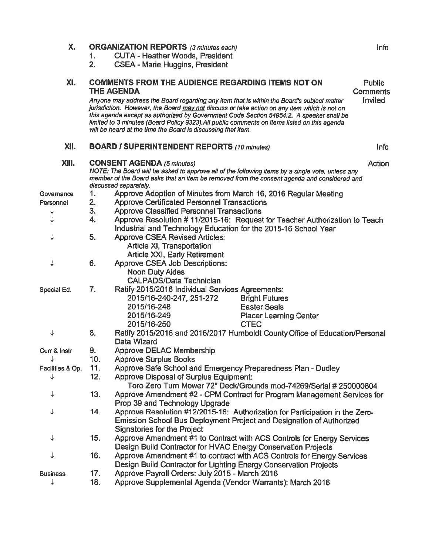| X.               | 1.<br>2.                                                                                                                                                                                                                                                                | <b>ORGANIZATION REPORTS</b> (3 minutes each)<br><b>CUTA - Heather Woods, President</b><br><b>CSEA - Marie Huggins, President</b>                                                                                                                                                                                                                                                                                                                                                                                                     | Info                                        |
|------------------|-------------------------------------------------------------------------------------------------------------------------------------------------------------------------------------------------------------------------------------------------------------------------|--------------------------------------------------------------------------------------------------------------------------------------------------------------------------------------------------------------------------------------------------------------------------------------------------------------------------------------------------------------------------------------------------------------------------------------------------------------------------------------------------------------------------------------|---------------------------------------------|
| XI.              |                                                                                                                                                                                                                                                                         | <b>COMMENTS FROM THE AUDIENCE REGARDING ITEMS NOT ON</b><br><b>THE AGENDA</b><br>Anyone may address the Board regarding any item that is within the Board's subject matter<br>jurisdiction. However, the Board may not discuss or take action on any item which is not on<br>this agenda except as authorized by Government Code Section 54954.2. A speaker shall be<br>limited to 3 minutes (Board Policy 9323). All public comments on items listed on this agenda<br>will be heard at the time the Board is discussing that item. | <b>Public</b><br>Comments<br><b>Invited</b> |
| XII.             |                                                                                                                                                                                                                                                                         | <b>BOARD / SUPERINTENDENT REPORTS (10 minutes)</b>                                                                                                                                                                                                                                                                                                                                                                                                                                                                                   | Info                                        |
| XIII.            | Action<br><b>CONSENT AGENDA (5 minutes)</b><br>NOTE: The Board will be asked to approve all of the following items by a single vote, unless any<br>member of the Board asks that an item be removed from the consent agenda and considered and<br>discussed separately. |                                                                                                                                                                                                                                                                                                                                                                                                                                                                                                                                      |                                             |
| Governance       | 1.                                                                                                                                                                                                                                                                      | Approve Adoption of Minutes from March 16, 2016 Regular Meeting                                                                                                                                                                                                                                                                                                                                                                                                                                                                      |                                             |
| Personnel        | 2.                                                                                                                                                                                                                                                                      | <b>Approve Certificated Personnel Transactions</b>                                                                                                                                                                                                                                                                                                                                                                                                                                                                                   |                                             |
| ↓                | 3.                                                                                                                                                                                                                                                                      | <b>Approve Classified Personnel Transactions</b>                                                                                                                                                                                                                                                                                                                                                                                                                                                                                     |                                             |
| ↓                | 4.                                                                                                                                                                                                                                                                      | Approve Resolution # 11/2015-16: Request for Teacher Authorization to Teach                                                                                                                                                                                                                                                                                                                                                                                                                                                          |                                             |
|                  |                                                                                                                                                                                                                                                                         | Industrial and Technology Education for the 2015-16 School Year                                                                                                                                                                                                                                                                                                                                                                                                                                                                      |                                             |
| ↓                | 5.                                                                                                                                                                                                                                                                      | <b>Approve CSEA Revised Articles:</b><br>Article XI, Transportation<br>Article XXI, Early Retirement                                                                                                                                                                                                                                                                                                                                                                                                                                 |                                             |
| ↓                | 6.                                                                                                                                                                                                                                                                      | <b>Approve CSEA Job Descriptions:</b><br><b>Noon Duty Aides</b><br><b>CALPADS/Data Technician</b>                                                                                                                                                                                                                                                                                                                                                                                                                                    |                                             |
| Special Ed.      | 7.                                                                                                                                                                                                                                                                      | Ratify 2015/2016 Individual Services Agreements:<br>2015/16-240-247, 251-272<br><b>Bright Futures</b><br>2015/16-248<br><b>Easter Seals</b><br>2015/16-249<br><b>Placer Learning Center</b><br>2015/16-250<br><b>CTEC</b>                                                                                                                                                                                                                                                                                                            |                                             |
| ↓                | 8.                                                                                                                                                                                                                                                                      | Ratify 2015/2016 and 2016/2017 Humboldt County Office of Education/Personal<br>Data Wizard                                                                                                                                                                                                                                                                                                                                                                                                                                           |                                             |
| Curr & Instr     | 9.                                                                                                                                                                                                                                                                      | <b>Approve DELAC Membership</b>                                                                                                                                                                                                                                                                                                                                                                                                                                                                                                      |                                             |
| ↓                | 10.                                                                                                                                                                                                                                                                     | <b>Approve Surplus Books</b>                                                                                                                                                                                                                                                                                                                                                                                                                                                                                                         |                                             |
| Facilities & Op. | 11.                                                                                                                                                                                                                                                                     | Approve Safe School and Emergency Preparedness Plan - Dudley                                                                                                                                                                                                                                                                                                                                                                                                                                                                         |                                             |
|                  | 12.                                                                                                                                                                                                                                                                     | Approve Disposal of Surplus Equipment:<br>Toro Zero Turn Mower 72" Deck/Grounds mod-74269/Serial # 250000804                                                                                                                                                                                                                                                                                                                                                                                                                         |                                             |
| ↓                | 13.                                                                                                                                                                                                                                                                     | Approve Amendment #2 - CPM Contract for Program Management Services for<br>Prop 39 and Technology Upgrade                                                                                                                                                                                                                                                                                                                                                                                                                            |                                             |
| ↓                | 14.                                                                                                                                                                                                                                                                     | Approve Resolution #12/2015-16: Authorization for Participation in the Zero-<br><b>Emission School Bus Deployment Project and Designation of Authorized</b><br><b>Signatories for the Project</b>                                                                                                                                                                                                                                                                                                                                    |                                             |
| ↓                | 15.                                                                                                                                                                                                                                                                     | Approve Amendment #1 to Contract with ACS Controls for Energy Services<br>Design Build Contractor for HVAC Energy Conservation Projects                                                                                                                                                                                                                                                                                                                                                                                              |                                             |
| ↓                | 16.                                                                                                                                                                                                                                                                     | Approve Amendment #1 to contract with ACS Controls for Energy Services<br>Design Build Contractor for Lighting Energy Conservation Projects                                                                                                                                                                                                                                                                                                                                                                                          |                                             |
| <b>Business</b>  | 17.                                                                                                                                                                                                                                                                     | Approve Payroll Orders: July 2015 - March 2016                                                                                                                                                                                                                                                                                                                                                                                                                                                                                       |                                             |
|                  | 18.                                                                                                                                                                                                                                                                     | Approve Supplemental Agenda (Vendor Warrants): March 2016                                                                                                                                                                                                                                                                                                                                                                                                                                                                            |                                             |